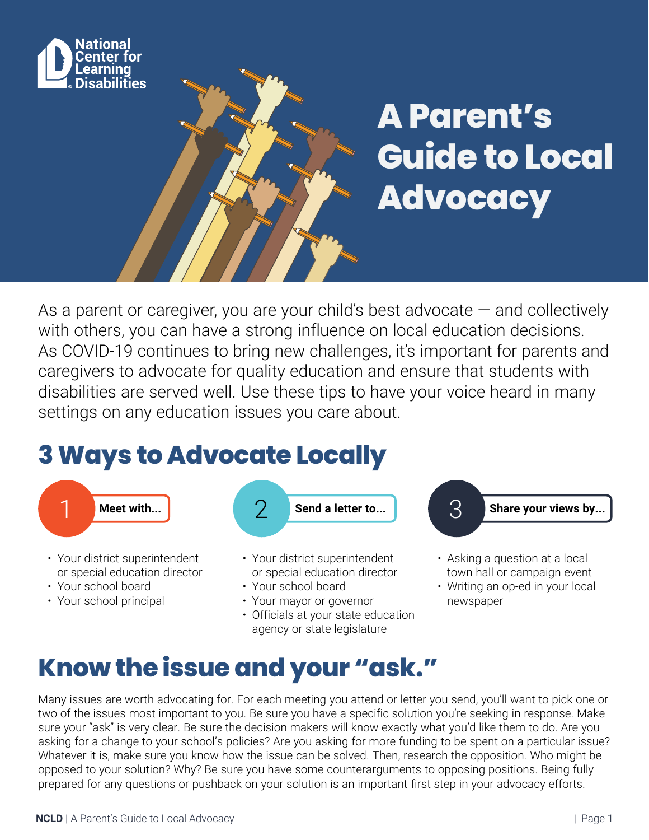

# **A Parent's Guide to Local Advocacy**

As a parent or caregiver, you are your child's best advocate  $-$  and collectively with others, you can have a strong influence on local education decisions. As COVID-19 continues to bring new challenges, it's important for parents and caregivers to advocate for quality education and ensure that students with disabilities are served well. Use these tips to have your voice heard in many settings on any education issues you care about.

## **3 Ways to Advocate Locally**



- or special education director
- Your school board
- Your school principal
- or special education director
- Your school board
- Your mayor or governor
- Officials at your state education agency or state legislature
- town hall or campaign event
- Writing an op-ed in your local newspaper

## **Know the issue and your "ask."**

Many issues are worth advocating for. For each meeting you attend or letter you send, you'll want to pick one or two of the issues most important to you. Be sure you have a specific solution you're seeking in response. Make sure your "ask" is very clear. Be sure the decision makers will know exactly what you'd like them to do. Are you asking for a change to your school's policies? Are you asking for more funding to be spent on a particular issue? Whatever it is, make sure you know how the issue can be solved. Then, research the opposition. Who might be opposed to your solution? Why? Be sure you have some counterarguments to opposing positions. Being fully prepared for any questions or pushback on your solution is an important first step in your advocacy efforts.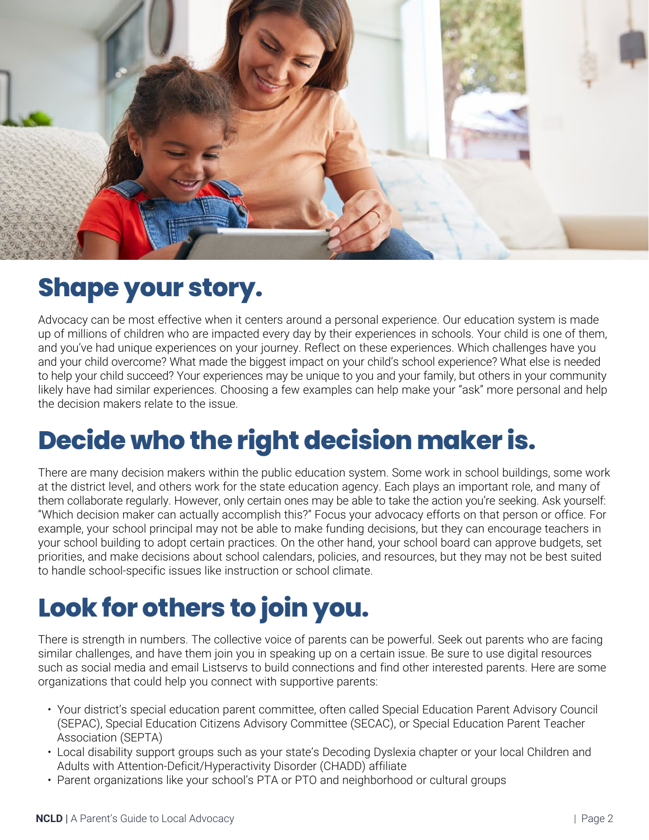

### **Shape your story.**

Advocacy can be most effective when it centers around a personal experience. Our education system is made up of millions of children who are impacted every day by their experiences in schools. Your child is one of them, and you've had unique experiences on your journey. Reflect on these experiences. Which challenges have you and your child overcome? What made the biggest impact on your child's school experience? What else is needed to help your child succeed? Your experiences may be unique to you and your family, but others in your community likely have had similar experiences. Choosing a few examples can help make your "ask" more personal and help the decision makers relate to the issue.

## **Decide who the right decision maker is.**

There are many decision makers within the public education system. Some work in school buildings, some work at the district level, and others work for the state education agency. Each plays an important role, and many of them collaborate regularly. However, only certain ones may be able to take the action you're seeking. Ask yourself: "Which decision maker can actually accomplish this?" Focus your advocacy efforts on that person or office. For example, your school principal may not be able to make funding decisions, but they can encourage teachers in your school building to adopt certain practices. On the other hand, your school board can approve budgets, set priorities, and make decisions about school calendars, policies, and resources, but they may not be best suited to handle school-specific issues like instruction or school climate.

## **Look for others to join you.**

There is strength in numbers. The collective voice of parents can be powerful. Seek out parents who are facing similar challenges, and have them join you in speaking up on a certain issue. Be sure to use digital resources such as social media and email Listservs to build connections and find other interested parents. Here are some organizations that could help you connect with supportive parents:

- Your district's special education parent committee, often called Special Education Parent Advisory Council (SEPAC), Special Education Citizens Advisory Committee (SECAC), or Special Education Parent Teacher Association (SEPTA)
- Local disability support groups such as your state's Decoding Dyslexia chapter or your local Children and Adults with Attention-Deficit/Hyperactivity Disorder (CHADD) affiliate
- Parent organizations like your school's PTA or PTO and neighborhood or cultural groups